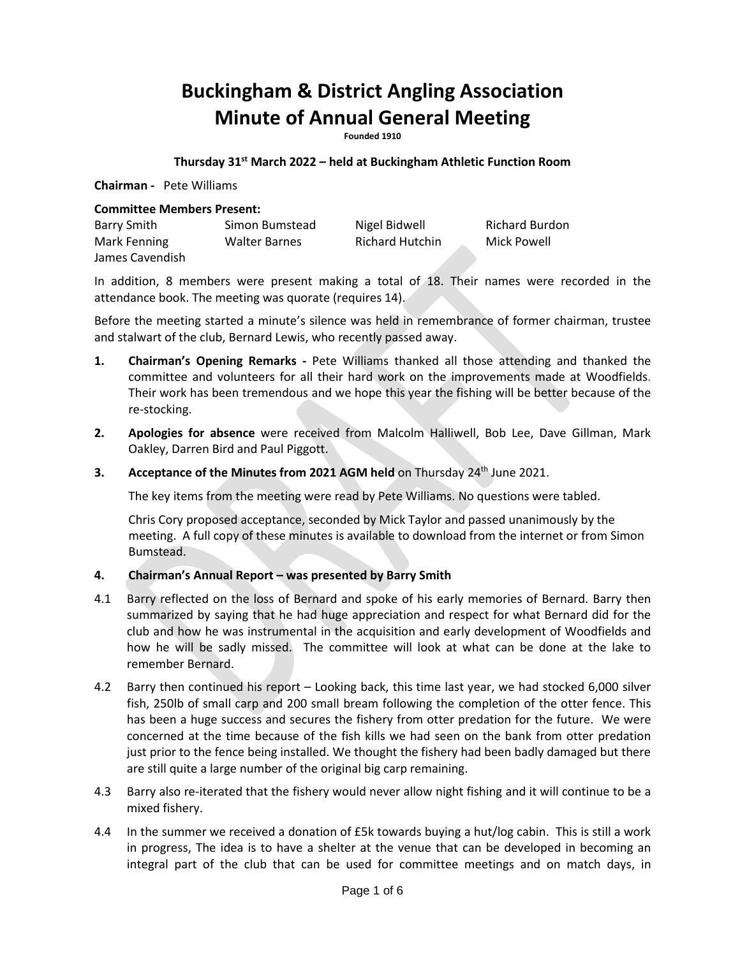# **Buckingham & District Angling Association Minute of Annual General Meeting**

**Founded 1910**

#### **Thursday 31st March 2022 – held at Buckingham Athletic Function Room**

**Chairman -** Pete Williams

#### **Committee Members Present:**

| Barry Smith     | Simon Bumstead       | Nigel Bidwell          | Richard Burdon |
|-----------------|----------------------|------------------------|----------------|
| Mark Fenning    | <b>Walter Barnes</b> | <b>Richard Hutchin</b> | Mick Powell    |
| James Cavendish |                      |                        |                |

In addition, 8 members were present making a total of 18. Their names were recorded in the attendance book. The meeting was quorate (requires 14).

Before the meeting started a minute's silence was held in remembrance of former chairman, trustee and stalwart of the club, Bernard Lewis, who recently passed away.

- **1. Chairman's Opening Remarks -** Pete Williams thanked all those attending and thanked the committee and volunteers for all their hard work on the improvements made at Woodfields. Their work has been tremendous and we hope this year the fishing will be better because of the re-stocking.
- **2. Apologies for absence** were received from Malcolm Halliwell, Bob Lee, Dave Gillman, Mark Oakley, Darren Bird and Paul Piggott.
- **3.** Acceptance of the Minutes from 2021 AGM held on Thursday 24<sup>th</sup> June 2021.

The key items from the meeting were read by Pete Williams. No questions were tabled.

Chris Cory proposed acceptance, seconded by Mick Taylor and passed unanimously by the meeting. A full copy of these minutes is available to download from the internet or from Simon Bumstead.

### **4. Chairman's Annual Report – was presented by Barry Smith**

- 4.1 Barry reflected on the loss of Bernard and spoke of his early memories of Bernard. Barry then summarized by saying that he had huge appreciation and respect for what Bernard did for the club and how he was instrumental in the acquisition and early development of Woodfields and how he will be sadly missed. The committee will look at what can be done at the lake to remember Bernard.
- 4.2 Barry then continued his report Looking back, this time last year, we had stocked 6,000 silver fish, 250lb of small carp and 200 small bream following the completion of the otter fence. This has been a huge success and secures the fishery from otter predation for the future. We were concerned at the time because of the fish kills we had seen on the bank from otter predation just prior to the fence being installed. We thought the fishery had been badly damaged but there are still quite a large number of the original big carp remaining.
- 4.3 Barry also re-iterated that the fishery would never allow night fishing and it will continue to be a mixed fishery.
- 4.4 In the summer we received a donation of £5k towards buying a hut/log cabin. This is still a work in progress, The idea is to have a shelter at the venue that can be developed in becoming an integral part of the club that can be used for committee meetings and on match days, in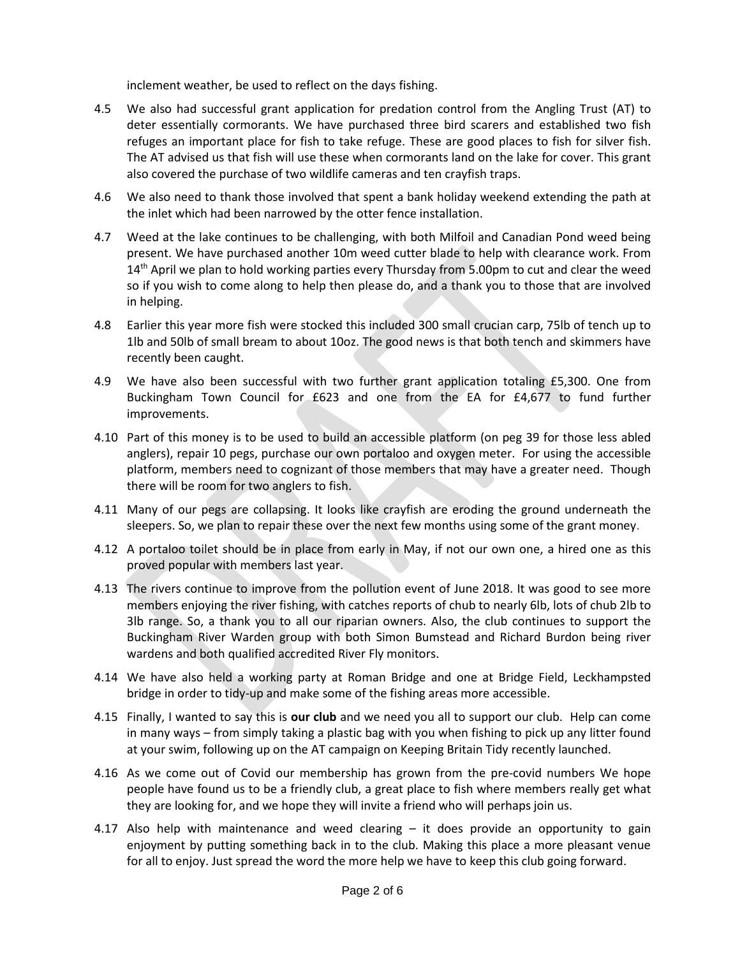inclement weather, be used to reflect on the days fishing.

- 4.5 We also had successful grant application for predation control from the Angling Trust (AT) to deter essentially cormorants. We have purchased three bird scarers and established two fish refuges an important place for fish to take refuge. These are good places to fish for silver fish. The AT advised us that fish will use these when cormorants land on the lake for cover. This grant also covered the purchase of two wildlife cameras and ten crayfish traps.
- 4.6 We also need to thank those involved that spent a bank holiday weekend extending the path at the inlet which had been narrowed by the otter fence installation.
- 4.7 Weed at the lake continues to be challenging, with both Milfoil and Canadian Pond weed being present. We have purchased another 10m weed cutter blade to help with clearance work. From  $14<sup>th</sup>$  April we plan to hold working parties every Thursday from 5.00pm to cut and clear the weed so if you wish to come along to help then please do, and a thank you to those that are involved in helping.
- 4.8 Earlier this year more fish were stocked this included 300 small crucian carp, 75lb of tench up to 1lb and 50lb of small bream to about 10oz. The good news is that both tench and skimmers have recently been caught.
- 4.9 We have also been successful with two further grant application totaling £5,300. One from Buckingham Town Council for £623 and one from the EA for £4,677 to fund further improvements.
- 4.10 Part of this money is to be used to build an accessible platform (on peg 39 for those less abled anglers), repair 10 pegs, purchase our own portaloo and oxygen meter. For using the accessible platform, members need to cognizant of those members that may have a greater need. Though there will be room for two anglers to fish.
- 4.11 Many of our pegs are collapsing. It looks like crayfish are eroding the ground underneath the sleepers. So, we plan to repair these over the next few months using some of the grant money.
- 4.12 A portaloo toilet should be in place from early in May, if not our own one, a hired one as this proved popular with members last year.
- 4.13 The rivers continue to improve from the pollution event of June 2018. It was good to see more members enjoying the river fishing, with catches reports of chub to nearly 6lb, lots of chub 2lb to 3lb range. So, a thank you to all our riparian owners. Also, the club continues to support the Buckingham River Warden group with both Simon Bumstead and Richard Burdon being river wardens and both qualified accredited River Fly monitors.
- 4.14 We have also held a working party at Roman Bridge and one at Bridge Field, Leckhampsted bridge in order to tidy-up and make some of the fishing areas more accessible.
- 4.15 Finally, I wanted to say this is **our club** and we need you all to support our club. Help can come in many ways – from simply taking a plastic bag with you when fishing to pick up any litter found at your swim, following up on the AT campaign on Keeping Britain Tidy recently launched.
- 4.16 As we come out of Covid our membership has grown from the pre-covid numbers We hope people have found us to be a friendly club, a great place to fish where members really get what they are looking for, and we hope they will invite a friend who will perhaps join us.
- 4.17 Also help with maintenance and weed clearing it does provide an opportunity to gain enjoyment by putting something back in to the club. Making this place a more pleasant venue for all to enjoy. Just spread the word the more help we have to keep this club going forward.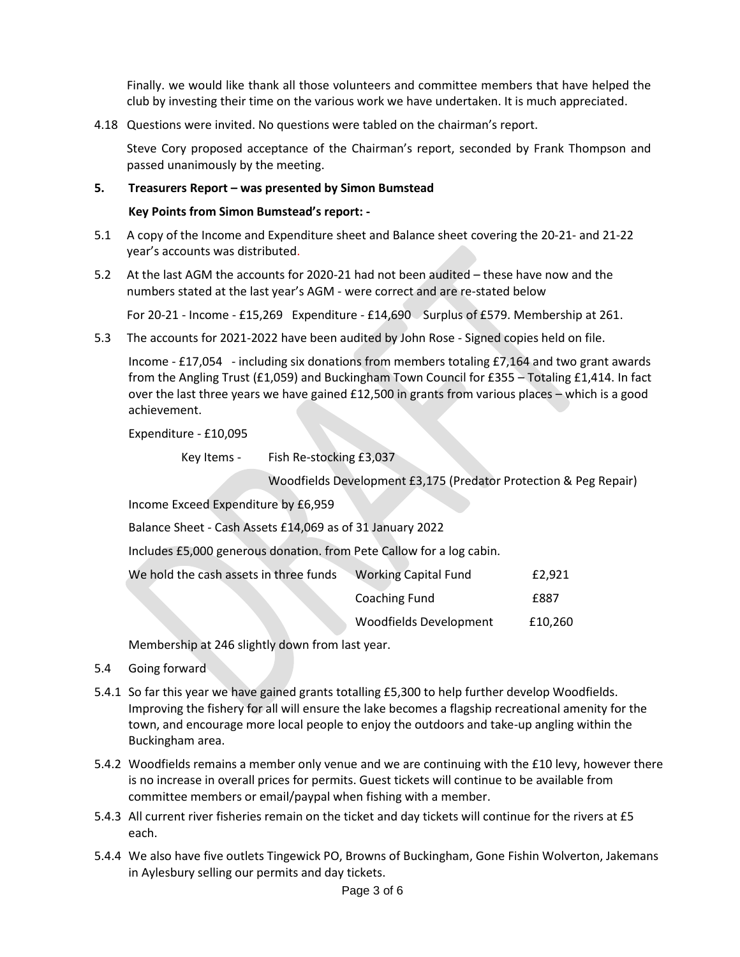Finally. we would like thank all those volunteers and committee members that have helped the club by investing their time on the various work we have undertaken. It is much appreciated.

4.18 Questions were invited. No questions were tabled on the chairman's report.

Steve Cory proposed acceptance of the Chairman's report, seconded by Frank Thompson and passed unanimously by the meeting.

#### **5. Treasurers Report – was presented by Simon Bumstead**

#### **Key Points from Simon Bumstead's report: -**

- 5.1 A copy of the Income and Expenditure sheet and Balance sheet covering the 20-21- and 21-22 year's accounts was distributed.
- 5.2 At the last AGM the accounts for 2020-21 had not been audited these have now and the numbers stated at the last year's AGM - were correct and are re-stated below

For 20-21 - Income - £15,269 Expenditure - £14,690 Surplus of £579. Membership at 261.

5.3 The accounts for 2021-2022 have been audited by John Rose - Signed copies held on file.

Income - £17,054 - including six donations from members totaling £7,164 and two grant awards from the Angling Trust (£1,059) and Buckingham Town Council for £355 – Totaling £1,414. In fact over the last three years we have gained £12,500 in grants from various places – which is a good achievement.

Expenditure - £10,095

Key Items - Fish Re-stocking £3,037

Woodfields Development £3,175 (Predator Protection & Peg Repair)

Income Exceed Expenditure by £6,959

Balance Sheet - Cash Assets £14,069 as of 31 January 2022

Includes £5,000 generous donation. from Pete Callow for a log cabin.

| We hold the cash assets in three funds | Working Capital Fund   | £2.921  |
|----------------------------------------|------------------------|---------|
|                                        | Coaching Fund          | £887    |
|                                        | Woodfields Development | £10.260 |

Membership at 246 slightly down from last year.

- 5.4 Going forward
- 5.4.1 So far this year we have gained grants totalling £5,300 to help further develop Woodfields. Improving the fishery for all will ensure the lake becomes a flagship recreational amenity for the town, and encourage more local people to enjoy the outdoors and take-up angling within the Buckingham area.
- 5.4.2 Woodfields remains a member only venue and we are continuing with the £10 levy, however there is no increase in overall prices for permits. Guest tickets will continue to be available from committee members or email/paypal when fishing with a member.
- 5.4.3 All current river fisheries remain on the ticket and day tickets will continue for the rivers at £5 each.
- 5.4.4 We also have five outlets Tingewick PO, Browns of Buckingham, Gone Fishin Wolverton, Jakemans in Aylesbury selling our permits and day tickets.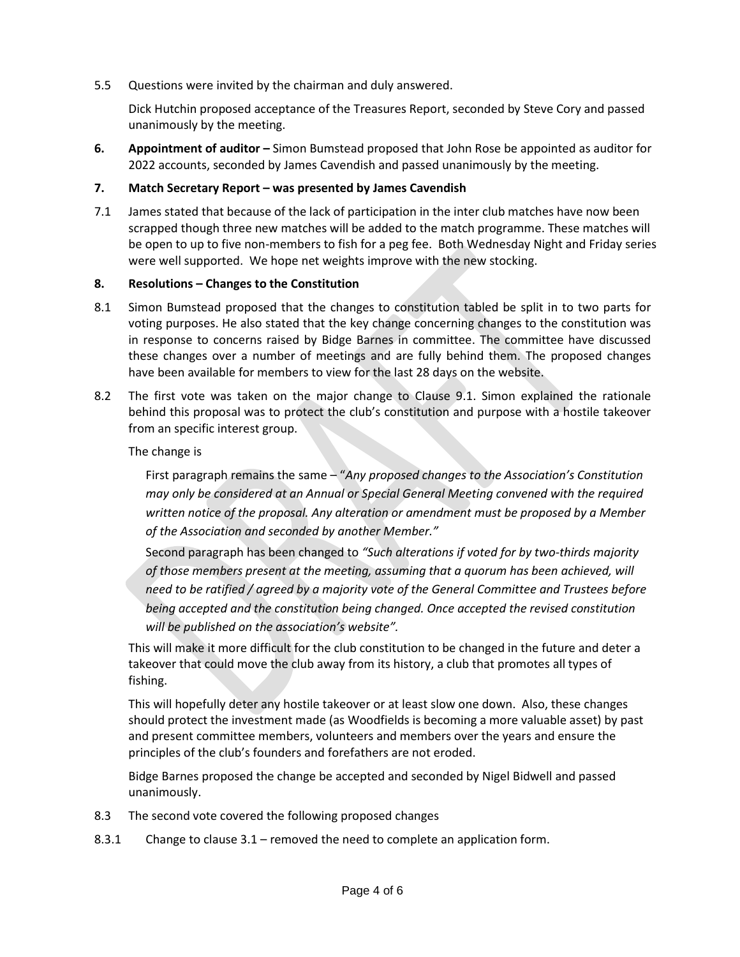5.5 Questions were invited by the chairman and duly answered.

Dick Hutchin proposed acceptance of the Treasures Report, seconded by Steve Cory and passed unanimously by the meeting.

**6. Appointment of auditor –** Simon Bumstead proposed that John Rose be appointed as auditor for 2022 accounts, seconded by James Cavendish and passed unanimously by the meeting.

## **7. Match Secretary Report – was presented by James Cavendish**

7.1 James stated that because of the lack of participation in the inter club matches have now been scrapped though three new matches will be added to the match programme. These matches will be open to up to five non-members to fish for a peg fee. Both Wednesday Night and Friday series were well supported. We hope net weights improve with the new stocking.

## **8. Resolutions – Changes to the Constitution**

- 8.1 Simon Bumstead proposed that the changes to constitution tabled be split in to two parts for voting purposes. He also stated that the key change concerning changes to the constitution was in response to concerns raised by Bidge Barnes in committee. The committee have discussed these changes over a number of meetings and are fully behind them. The proposed changes have been available for members to view for the last 28 days on the website.
- 8.2 The first vote was taken on the major change to Clause 9.1. Simon explained the rationale behind this proposal was to protect the club's constitution and purpose with a hostile takeover from an specific interest group.

The change is

First paragraph remains the same – "*Any proposed changes to the Association's Constitution may only be considered at an Annual or Special General Meeting convened with the required written notice of the proposal. Any alteration or amendment must be proposed by a Member of the Association and seconded by another Member."*

Second paragraph has been changed to *"Such alterations if voted for by two-thirds majority of those members present at the meeting, assuming that a quorum has been achieved, will need to be ratified / agreed by a majority vote of the General Committee and Trustees before being accepted and the constitution being changed. Once accepted the revised constitution will be published on the association's website".* 

This will make it more difficult for the club constitution to be changed in the future and deter a takeover that could move the club away from its history, a club that promotes all types of fishing.

This will hopefully deter any hostile takeover or at least slow one down. Also, these changes should protect the investment made (as Woodfields is becoming a more valuable asset) by past and present committee members, volunteers and members over the years and ensure the principles of the club's founders and forefathers are not eroded.

Bidge Barnes proposed the change be accepted and seconded by Nigel Bidwell and passed unanimously.

- 8.3 The second vote covered the following proposed changes
- 8.3.1 Change to clause 3.1 removed the need to complete an application form.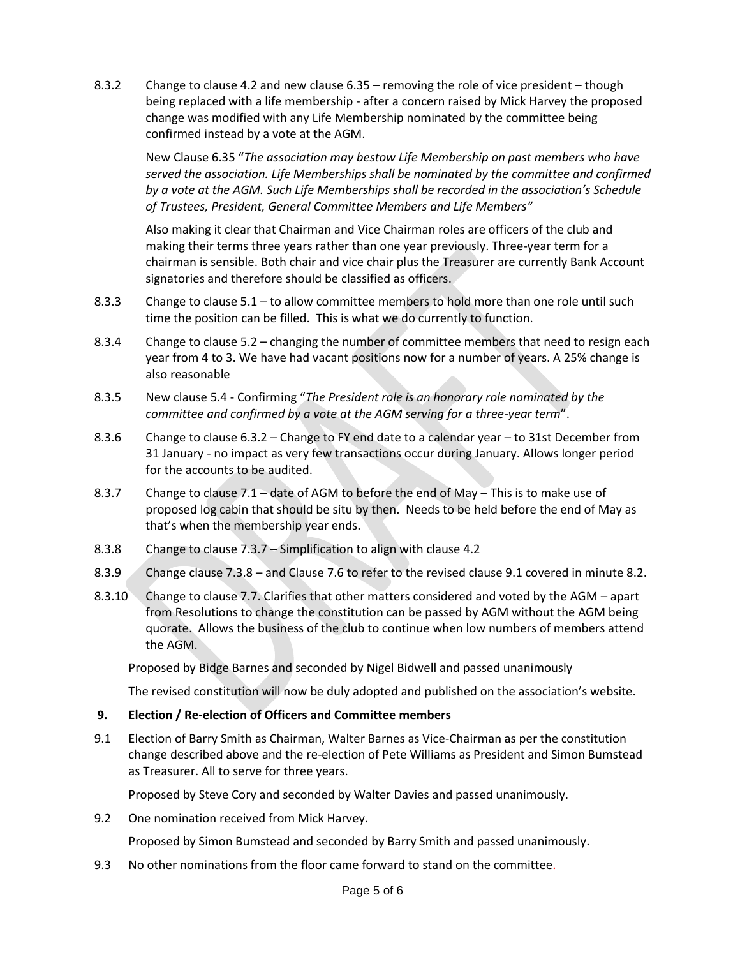8.3.2 Change to clause 4.2 and new clause 6.35 – removing the role of vice president – though being replaced with a life membership - after a concern raised by Mick Harvey the proposed change was modified with any Life Membership nominated by the committee being confirmed instead by a vote at the AGM.

New Clause 6.35 "*The association may bestow Life Membership on past members who have served the association. Life Memberships shall be nominated by the committee and confirmed by a vote at the AGM. Such Life Memberships shall be recorded in the association's Schedule of Trustees, President, General Committee Members and Life Members"*

Also making it clear that Chairman and Vice Chairman roles are officers of the club and making their terms three years rather than one year previously. Three-year term for a chairman is sensible. Both chair and vice chair plus the Treasurer are currently Bank Account signatories and therefore should be classified as officers.

- 8.3.3 Change to clause 5.1 to allow committee members to hold more than one role until such time the position can be filled. This is what we do currently to function.
- 8.3.4 Change to clause 5.2 changing the number of committee members that need to resign each year from 4 to 3. We have had vacant positions now for a number of years. A 25% change is also reasonable
- 8.3.5 New clause 5.4 Confirming "*The President role is an honorary role nominated by the committee and confirmed by a vote at the AGM serving for a three-year term*".
- 8.3.6 Change to clause 6.3.2 Change to FY end date to a calendar year to 31st December from 31 January - no impact as very few transactions occur during January. Allows longer period for the accounts to be audited.
- 8.3.7 Change to clause 7.1 date of AGM to before the end of May This is to make use of proposed log cabin that should be situ by then. Needs to be held before the end of May as that's when the membership year ends.
- 8.3.8 Change to clause 7.3.7 Simplification to align with clause 4.2
- 8.3.9 Change clause 7.3.8 and Clause 7.6 to refer to the revised clause 9.1 covered in minute 8.2.
- 8.3.10 Change to clause 7.7. Clarifies that other matters considered and voted by the AGM apart from Resolutions to change the constitution can be passed by AGM without the AGM being quorate. Allows the business of the club to continue when low numbers of members attend the AGM.

Proposed by Bidge Barnes and seconded by Nigel Bidwell and passed unanimously

The revised constitution will now be duly adopted and published on the association's website.

### **9. Election / Re-election of Officers and Committee members**

9.1 Election of Barry Smith as Chairman, Walter Barnes as Vice-Chairman as per the constitution change described above and the re-election of Pete Williams as President and Simon Bumstead as Treasurer. All to serve for three years.

Proposed by Steve Cory and seconded by Walter Davies and passed unanimously.

9.2 One nomination received from Mick Harvey.

Proposed by Simon Bumstead and seconded by Barry Smith and passed unanimously.

9.3 No other nominations from the floor came forward to stand on the committee.